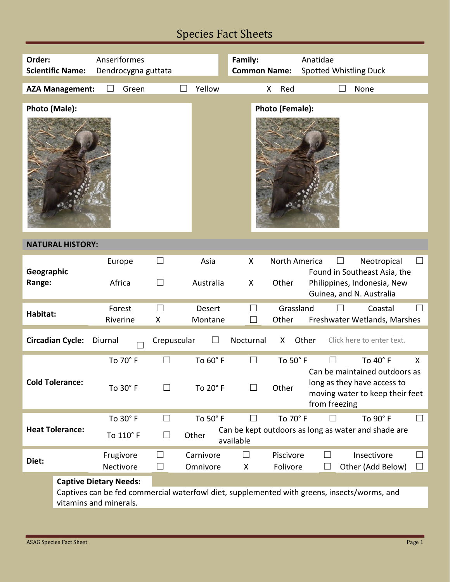## Species Fact Sheets

| Order:<br>Anseriformes<br>Family:<br>Anatidae<br><b>Scientific Name:</b><br>Dendrocygna guttata<br><b>Common Name:</b><br><b>Spotted Whistling Duck</b> |        |  |  |  |  |  |
|---------------------------------------------------------------------------------------------------------------------------------------------------------|--------|--|--|--|--|--|
|                                                                                                                                                         |        |  |  |  |  |  |
|                                                                                                                                                         |        |  |  |  |  |  |
|                                                                                                                                                         |        |  |  |  |  |  |
| <b>AZA Management:</b><br>Green<br>Yellow<br>Red<br>None<br>X                                                                                           |        |  |  |  |  |  |
|                                                                                                                                                         |        |  |  |  |  |  |
| Photo (Male):<br>Photo (Female):                                                                                                                        |        |  |  |  |  |  |
|                                                                                                                                                         |        |  |  |  |  |  |
| <b>NATURAL HISTORY:</b>                                                                                                                                 |        |  |  |  |  |  |
| $\Box$<br>Asia<br>X<br>North America<br>Neotropical<br>Europe                                                                                           |        |  |  |  |  |  |
| Geographic<br>Found in Southeast Asia, the                                                                                                              |        |  |  |  |  |  |
| Africa<br>Philippines, Indonesia, New<br>Australia<br>Other<br>Range:<br>П<br>X                                                                         |        |  |  |  |  |  |
| Guinea, and N. Australia                                                                                                                                |        |  |  |  |  |  |
|                                                                                                                                                         |        |  |  |  |  |  |
| Forest<br>Grassland<br>Desert<br>Coastal<br>$\mathcal{L}$<br>Habitat:                                                                                   |        |  |  |  |  |  |
| Riverine<br>X<br>Other<br>Freshwater Wetlands, Marshes<br>Montane<br>$\Box$                                                                             |        |  |  |  |  |  |
| <b>Circadian Cycle:</b><br>Crepuscular<br>Other<br>Click here to enter text.<br>Diurnal<br>Nocturnal<br>X                                               |        |  |  |  |  |  |
| To 70° F<br>To 60° F<br>To 40° F<br>To 50° F                                                                                                            | X      |  |  |  |  |  |
| Can be maintained outdoors as                                                                                                                           |        |  |  |  |  |  |
| <b>Cold Tolerance:</b><br>long as they have access to                                                                                                   |        |  |  |  |  |  |
| Other<br>To 30° F<br>To 20° F<br>П<br>$\Box$<br>moving water to keep their feet                                                                         |        |  |  |  |  |  |
| from freezing                                                                                                                                           |        |  |  |  |  |  |
|                                                                                                                                                         |        |  |  |  |  |  |
| To 30° F<br>To 50° F<br>To 70° F<br>To 90° F                                                                                                            |        |  |  |  |  |  |
| <b>Heat Tolerance:</b><br>Can be kept outdoors as long as water and shade are<br>To 110° F<br>Other<br>$\vert \ \ \vert$                                |        |  |  |  |  |  |
| available                                                                                                                                               |        |  |  |  |  |  |
| Carnivore<br>Piscivore<br>Insectivore<br>Frugivore<br>$\Box$<br>$\mathcal{L}_{\mathcal{A}}$                                                             |        |  |  |  |  |  |
| Diet:<br>Nectivore<br>Folivore<br>Other (Add Below)<br>Omnivore<br>⊔<br>X                                                                               | $\Box$ |  |  |  |  |  |
|                                                                                                                                                         |        |  |  |  |  |  |
| <b>Captive Dietary Needs:</b>                                                                                                                           |        |  |  |  |  |  |
| Captives can be fed commercial waterfowl diet, supplemented with greens, insects/worms, and                                                             |        |  |  |  |  |  |
| vitamins and minerals.                                                                                                                                  |        |  |  |  |  |  |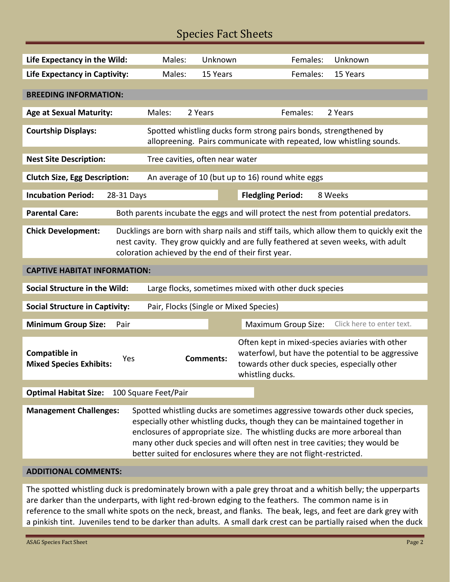## Species Fact Sheets

| Life Expectancy in the Wild:                                                                                                                                                                                                                                       | Males:                          | Unknown          | Females:<br>Unknown                                                                                                                                                                                                                                                                                                                                                                            |  |  |
|--------------------------------------------------------------------------------------------------------------------------------------------------------------------------------------------------------------------------------------------------------------------|---------------------------------|------------------|------------------------------------------------------------------------------------------------------------------------------------------------------------------------------------------------------------------------------------------------------------------------------------------------------------------------------------------------------------------------------------------------|--|--|
| <b>Life Expectancy in Captivity:</b>                                                                                                                                                                                                                               | Males:                          | 15 Years         | Females:<br>15 Years                                                                                                                                                                                                                                                                                                                                                                           |  |  |
|                                                                                                                                                                                                                                                                    |                                 |                  |                                                                                                                                                                                                                                                                                                                                                                                                |  |  |
| <b>BREEDING INFORMATION:</b>                                                                                                                                                                                                                                       |                                 |                  |                                                                                                                                                                                                                                                                                                                                                                                                |  |  |
| <b>Age at Sexual Maturity:</b>                                                                                                                                                                                                                                     | Males:                          | 2 Years          | Females:<br>2 Years                                                                                                                                                                                                                                                                                                                                                                            |  |  |
| <b>Courtship Displays:</b>                                                                                                                                                                                                                                         |                                 |                  | Spotted whistling ducks form strong pairs bonds, strengthened by<br>allopreening. Pairs communicate with repeated, low whistling sounds.                                                                                                                                                                                                                                                       |  |  |
| <b>Nest Site Description:</b>                                                                                                                                                                                                                                      | Tree cavities, often near water |                  |                                                                                                                                                                                                                                                                                                                                                                                                |  |  |
| <b>Clutch Size, Egg Description:</b>                                                                                                                                                                                                                               |                                 |                  | An average of 10 (but up to 16) round white eggs                                                                                                                                                                                                                                                                                                                                               |  |  |
| <b>Incubation Period:</b><br>28-31 Days                                                                                                                                                                                                                            |                                 |                  | <b>Fledgling Period:</b><br>8 Weeks                                                                                                                                                                                                                                                                                                                                                            |  |  |
| <b>Parental Care:</b>                                                                                                                                                                                                                                              |                                 |                  | Both parents incubate the eggs and will protect the nest from potential predators.                                                                                                                                                                                                                                                                                                             |  |  |
| <b>Chick Development:</b><br>Ducklings are born with sharp nails and stiff tails, which allow them to quickly exit the<br>nest cavity. They grow quickly and are fully feathered at seven weeks, with adult<br>coloration achieved by the end of their first year. |                                 |                  |                                                                                                                                                                                                                                                                                                                                                                                                |  |  |
| <b>CAPTIVE HABITAT INFORMATION:</b>                                                                                                                                                                                                                                |                                 |                  |                                                                                                                                                                                                                                                                                                                                                                                                |  |  |
| <b>Social Structure in the Wild:</b><br>Large flocks, sometimes mixed with other duck species                                                                                                                                                                      |                                 |                  |                                                                                                                                                                                                                                                                                                                                                                                                |  |  |
| <b>Social Structure in Captivity:</b><br>Pair, Flocks (Single or Mixed Species)                                                                                                                                                                                    |                                 |                  |                                                                                                                                                                                                                                                                                                                                                                                                |  |  |
| <b>Minimum Group Size:</b><br>Pair                                                                                                                                                                                                                                 |                                 |                  | <b>Maximum Group Size:</b><br>Click here to enter text.                                                                                                                                                                                                                                                                                                                                        |  |  |
| Compatible in<br>Yes<br><b>Mixed Species Exhibits:</b>                                                                                                                                                                                                             |                                 | <b>Comments:</b> | Often kept in mixed-species aviaries with other<br>waterfowl, but have the potential to be aggressive<br>towards other duck species, especially other<br>whistling ducks.                                                                                                                                                                                                                      |  |  |
| <b>Optimal Habitat Size:</b>                                                                                                                                                                                                                                       | 100 Square Feet/Pair            |                  |                                                                                                                                                                                                                                                                                                                                                                                                |  |  |
| <b>Management Challenges:</b>                                                                                                                                                                                                                                      |                                 |                  | Spotted whistling ducks are sometimes aggressive towards other duck species,<br>especially other whistling ducks, though they can be maintained together in<br>enclosures of appropriate size. The whistling ducks are more arboreal than<br>many other duck species and will often nest in tree cavities; they would be<br>better suited for enclosures where they are not flight-restricted. |  |  |
| <b>ADDITIONAL COMMENTS:</b>                                                                                                                                                                                                                                        |                                 |                  |                                                                                                                                                                                                                                                                                                                                                                                                |  |  |

The spotted whistling duck is predominately brown with a pale grey throat and a whitish belly; the upperparts are darker than the underparts, with light red-brown edging to the feathers. The common name is in reference to the small white spots on the neck, breast, and flanks. The beak, legs, and feet are dark grey with a pinkish tint. Juveniles tend to be darker than adults. A small dark crest can be partially raised when the duck